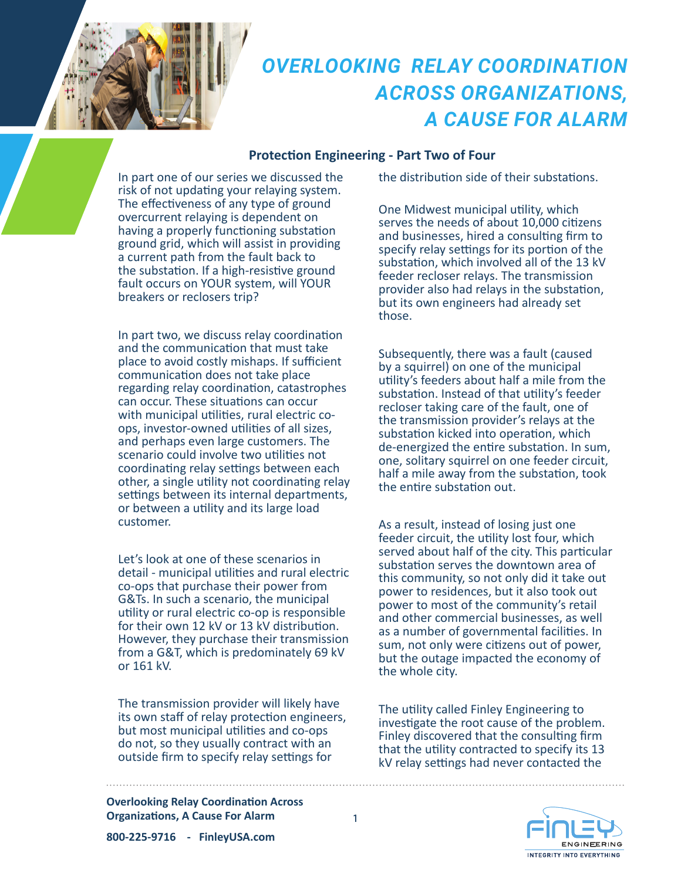

# *OVERLOOKING RELAY COORDINATION ACROSS ORGANIZATIONS, A CAUSE FOR ALARM*

#### **Protection Engineering - Part Two of Four**

In part one of our series we discussed the risk of not updating your relaying system. The effectiveness of any type of ground overcurrent relaying is dependent on having a properly functioning substation ground grid, which will assist in providing a current path from the fault back to the substation. If a high-resistive ground fault occurs on YOUR system, will YOUR breakers or reclosers trip?

In part two, we discuss relay coordination and the communication that must take place to avoid costly mishaps. If sufficient communication does not take place regarding relay coordination, catastrophes can occur. These situations can occur with municipal utilities, rural electric coops, investor-owned utilities of all sizes, and perhaps even large customers. The scenario could involve two utilities not coordinating relay settings between each other, a single utility not coordinating relay settings between its internal departments, or between a utility and its large load customer.

Let's look at one of these scenarios in detail - municipal utilities and rural electric co-ops that purchase their power from G&Ts. In such a scenario, the municipal utility or rural electric co-op is responsible for their own 12 kV or 13 kV distribution. However, they purchase their transmission from a G&T, which is predominately 69 kV or 161 kV.

The transmission provider will likely have its own staff of relay protection engineers, but most municipal utilities and co-ops do not, so they usually contract with an outside firm to specify relay settings for

**Overlooking Relay Coordination Across Organizations, A Cause For Alarm** 

the distribution side of their substations.

One Midwest municipal utility, which serves the needs of about 10,000 citizens and businesses, hired a consulting firm to specify relay settings for its portion of the substation, which involved all of the 13 kV feeder recloser relays. The transmission provider also had relays in the substation, but its own engineers had already set those.

Subsequently, there was a fault (caused by a squirrel) on one of the municipal utility's feeders about half a mile from the substation. Instead of that utility's feeder recloser taking care of the fault, one of the transmission provider's relays at the substation kicked into operation, which de-energized the entire substation. In sum, one, solitary squirrel on one feeder circuit, half a mile away from the substation, took the entire substation out.

As a result, instead of losing just one feeder circuit, the utility lost four, which served about half of the city. This particular substation serves the downtown area of this community, so not only did it take out power to residences, but it also took out power to most of the community's retail and other commercial businesses, as well as a number of governmental facilities. In sum, not only were citizens out of power, but the outage impacted the economy of the whole city.

The utility called Finley Engineering to investigate the root cause of the problem. Finley discovered that the consulting firm that the utility contracted to specify its 13 kV relay settings had never contacted the



**800-225-9716 - FinleyUSA.com**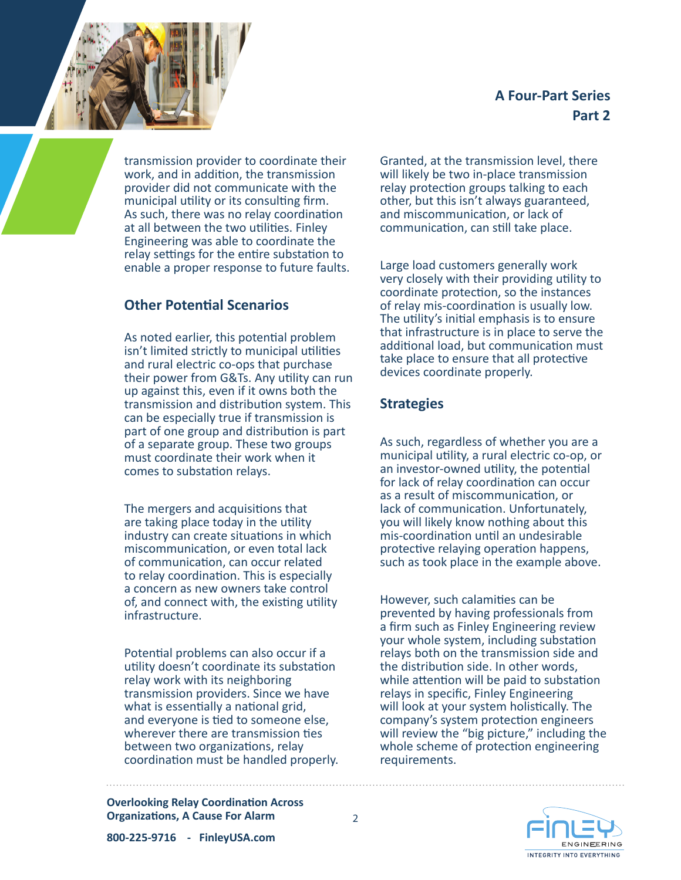# **A Four-Part Series Part 2**



transmission provider to coordinate their work, and in addition, the transmission provider did not communicate with the municipal utility or its consulting firm. As such, there was no relay coordination at all between the two utilities. Finley Engineering was able to coordinate the relay settings for the entire substation to enable a proper response to future faults.

### **Other Potential Scenarios**

As noted earlier, this potential problem isn't limited strictly to municipal utilities and rural electric co-ops that purchase their power from G&Ts. Any utility can run up against this, even if it owns both the transmission and distribution system. This can be especially true if transmission is part of one group and distribution is part of a separate group. These two groups must coordinate their work when it comes to substation relays.

The mergers and acquisitions that are taking place today in the utility industry can create situations in which miscommunication, or even total lack of communication, can occur related to relay coordination. This is especially a concern as new owners take control of, and connect with, the existing utility infrastructure.

Potential problems can also occur if a utility doesn't coordinate its substation relay work with its neighboring transmission providers. Since we have what is essentially a national grid, and everyone is tied to someone else. wherever there are transmission ties between two organizations, relay coordination must be handled properly.

**Overlooking Relay Coordination Across Organizations, A Cause For Alarm** 

Granted, at the transmission level, there will likely be two in-place transmission relay protection groups talking to each other, but this isn't always guaranteed, and miscommunication, or lack of communication, can still take place.

Large load customers generally work very closely with their providing utility to coordinate protection, so the instances of relay mis-coordination is usually low. The utility's initial emphasis is to ensure that infrastructure is in place to serve the additional load, but communication must take place to ensure that all protective devices coordinate properly.

#### **Strategies**

As such, regardless of whether you are a municipal utility, a rural electric co-op, or an investor-owned utility, the potential for lack of relay coordination can occur as a result of miscommunication, or lack of communication. Unfortunately, you will likely know nothing about this mis-coordination until an undesirable protective relaying operation happens, such as took place in the example above.

However, such calamities can be prevented by having professionals from a firm such as Finley Engineering review your whole system, including substation relays both on the transmission side and the distribution side. In other words, while attention will be paid to substation relays in specific, Finley Engineering will look at your system holistically. The company's system protection engineers will review the "big picture," including the whole scheme of protection engineering requirements.